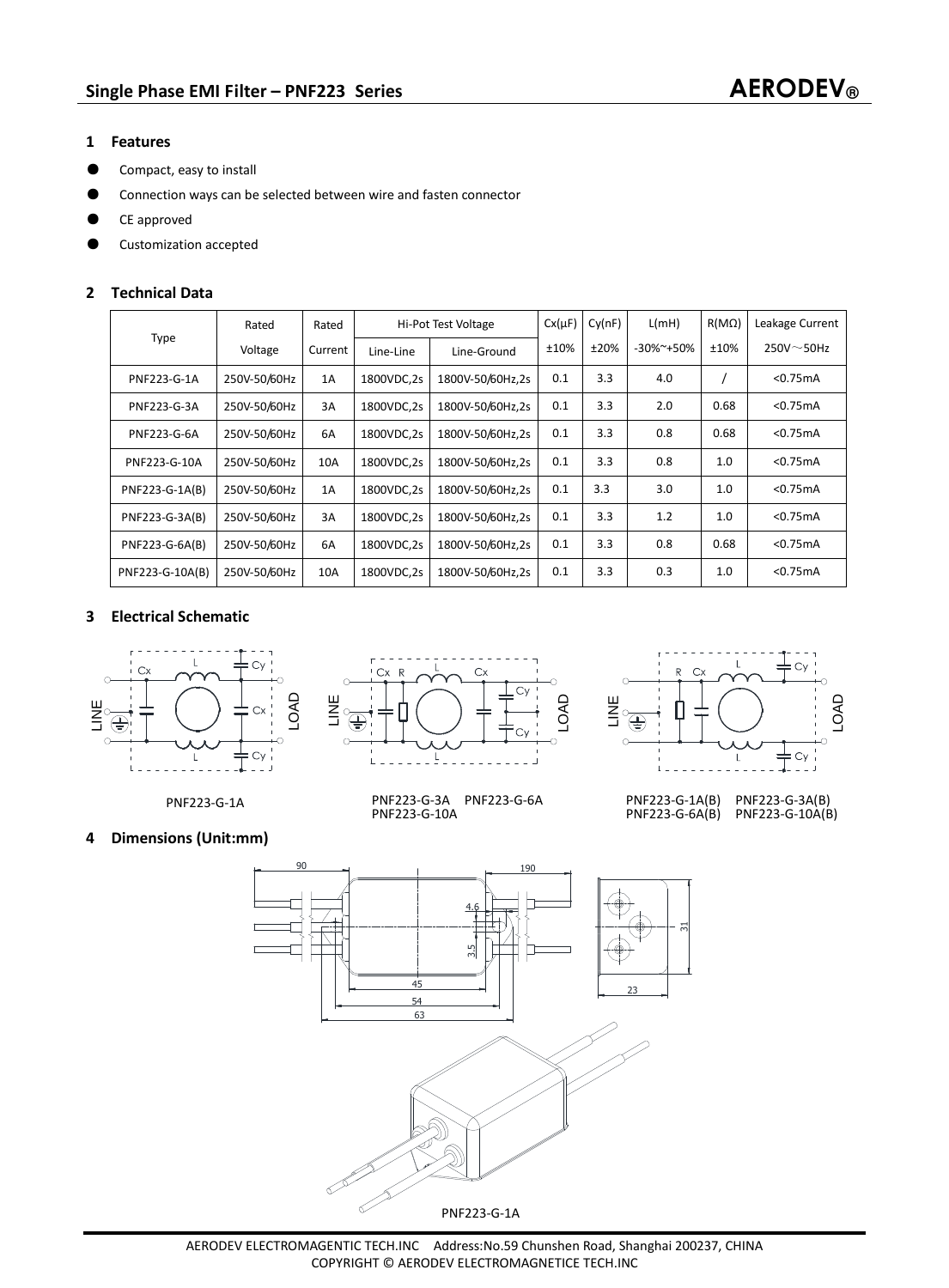### **1 Features**

- ƽ Compact, easy to install
- ƽ Connection ways can be selected between wire and fasten connector
- CE approved
- ƽ Customization accepted

## **2 Technical Data**

| <b>Type</b>     | Rated        | Rated   | Hi-Pot Test Voltage |                  | $Cx(\mu F)$ | Cy(nF) | L(mH)            | $R(M\Omega)$ | Leakage Current  |
|-----------------|--------------|---------|---------------------|------------------|-------------|--------|------------------|--------------|------------------|
|                 | Voltage      | Current | Line-Line           | Line-Ground      | ±10%        | ±20%   | $-30\%$ $-150\%$ | ±10%         | $250V^\sim$ 50Hz |
| PNF223-G-1A     | 250V-50/60Hz | 1A      | 1800VDC,2s          | 1800V-50/60Hz,2s | 0.1         | 3.3    | 4.0              |              | < 0.75mA         |
| PNF223-G-3A     | 250V-50/60Hz | 3A      | 1800VDC,2s          | 1800V-50/60Hz,2s | 0.1         | 3.3    | 2.0              | 0.68         | < 0.75mA         |
| PNF223-G-6A     | 250V-50/60Hz | 6A      | 1800VDC,2s          | 1800V-50/60Hz,2s | 0.1         | 3.3    | 0.8              | 0.68         | $<$ 0.75 $mA$    |
| PNF223-G-10A    | 250V-50/60Hz | 10A     | 1800VDC,2s          | 1800V-50/60Hz.2s | 0.1         | 3.3    | 0.8              | 1.0          | < 0.75mA         |
| PNF223-G-1A(B)  | 250V-50/60Hz | 1A      | 1800VDC,2s          | 1800V-50/60Hz.2s | 0.1         | 3.3    | 3.0              | 1.0          | < 0.75mA         |
| PNF223-G-3A(B)  | 250V-50/60Hz | 3A      | 1800VDC,2s          | 1800V-50/60Hz.2s | 0.1         | 3.3    | 1.2              | 1.0          | < 0.75mA         |
| PNF223-G-6A(B)  | 250V-50/60Hz | 6A      | 1800VDC,2s          | 1800V-50/60Hz,2s | 0.1         | 3.3    | 0.8              | 0.68         | $<$ 0.75 $mA$    |
| PNF223-G-10A(B) | 250V-50/60Hz | 10A     | 1800VDC,2s          | 1800V-50/60Hz,2s | 0.1         | 3.3    | 0.3              | 1.0          | < 0.75mA         |

# **3 Electrical Schematic**









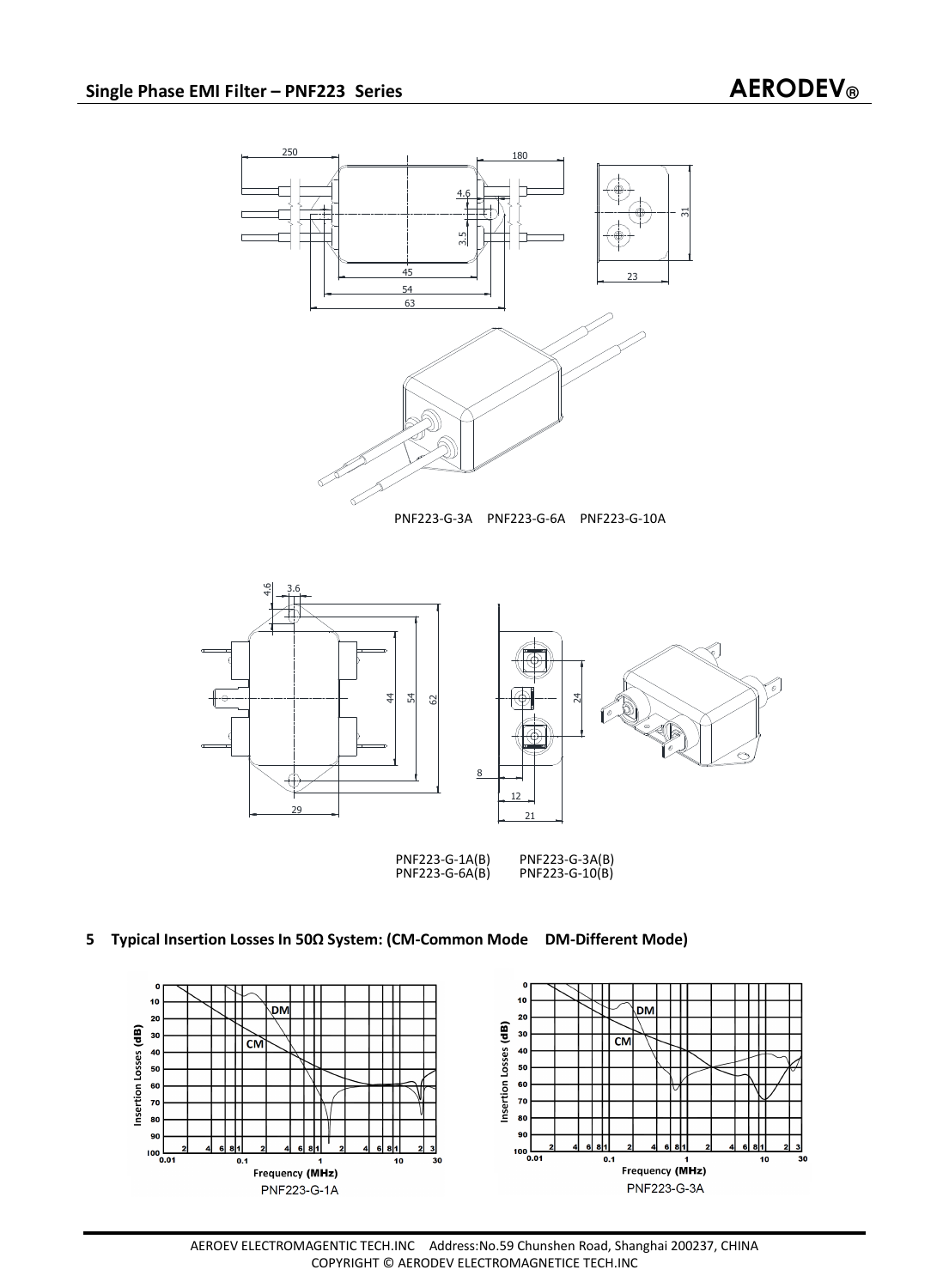

## **5 Typical Insertion Losses In 50Ω System: (CM-Common Mode DM-Different Mode)**